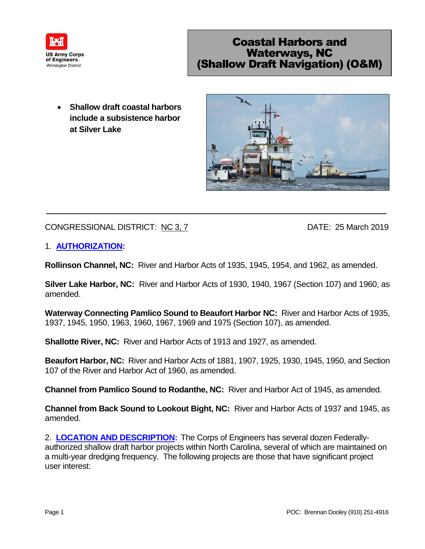

## Coastal Harbors and Waterways, NC (Shallow Draft Navigation) (O&M)

 **Shallow draft coastal harbors include a subsistence harbor at Silver Lake**



## CONGRESSIONAL DISTRICT: NC 3, 7 DATE: 25 March 2019

## 1. **AUTHORIZATION:**

**Rollinson Channel, NC:** River and Harbor Acts of 1935, 1945, 1954, and 1962, as amended.

**Silver Lake Harbor, NC:** River and Harbor Acts of 1930, 1940, 1967 (Section 107) and 1960, as amended.

**Waterway Connecting Pamlico Sound to Beaufort Harbor NC:** River and Harbor Acts of 1935, 1937, 1945, 1950, 1963, 1960, 1967, 1969 and 1975 (Section 107), as amended.

**Shallotte River, NC:** River and Harbor Acts of 1913 and 1927, as amended.

**Beaufort Harbor, NC:** River and Harbor Acts of 1881, 1907, 1925, 1930, 1945, 1950, and Section 107 of the River and Harbor Act of 1960, as amended.

**Channel from Pamlico Sound to Rodanthe, NC:** River and Harbor Act of 1945, as amended.

**Channel from Back Sound to Lookout Bight, NC:** River and Harbor Acts of 1937 and 1945, as amended.

2. **LOCATION AND DESCRIPTION:** The Corps of Engineers has several dozen Federallyauthorized shallow draft harbor projects within North Carolina, several of which are maintained on a multi-year dredging frequency. The following projects are those that have significant project user interest: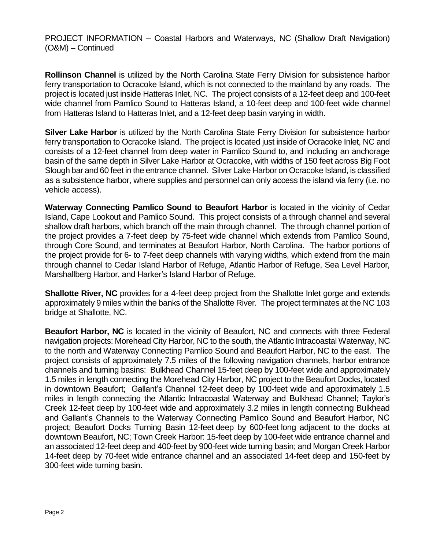**Rollinson Channel** is utilized by the North Carolina State Ferry Division for subsistence harbor ferry transportation to Ocracoke Island, which is not connected to the mainland by any roads. The project is located just inside Hatteras Inlet, NC. The project consists of a 12-feet deep and 100-feet wide channel from Pamlico Sound to Hatteras Island, a 10-feet deep and 100-feet wide channel from Hatteras Island to Hatteras Inlet, and a 12-feet deep basin varying in width.

**Silver Lake Harbor** is utilized by the North Carolina State Ferry Division for subsistence harbor ferry transportation to Ocracoke Island. The project is located just inside of Ocracoke Inlet, NC and consists of a 12-feet channel from deep water in Pamlico Sound to, and including an anchorage basin of the same depth in Silver Lake Harbor at Ocracoke, with widths of 150 feet across Big Foot Slough bar and 60 feet in the entrance channel. Silver Lake Harbor on Ocracoke Island, is classified as a subsistence harbor, where supplies and personnel can only access the island via ferry (i.e. no vehicle access).

**Waterway Connecting Pamlico Sound to Beaufort Harbor** is located in the vicinity of Cedar Island, Cape Lookout and Pamlico Sound. This project consists of a through channel and several shallow draft harbors, which branch off the main through channel. The through channel portion of the project provides a 7-feet deep by 75-feet wide channel which extends from Pamlico Sound, through Core Sound, and terminates at Beaufort Harbor, North Carolina. The harbor portions of the project provide for 6- to 7-feet deep channels with varying widths, which extend from the main through channel to Cedar Island Harbor of Refuge, Atlantic Harbor of Refuge, Sea Level Harbor, Marshallberg Harbor, and Harker's Island Harbor of Refuge.

**Shallotte River, NC** provides for a 4-feet deep project from the Shallotte Inlet gorge and extends approximately 9 miles within the banks of the Shallotte River. The project terminates at the NC 103 bridge at Shallotte, NC.

**Beaufort Harbor, NC** is located in the vicinity of Beaufort, NC and connects with three Federal navigation projects: Morehead City Harbor, NC to the south, the Atlantic Intracoastal Waterway, NC to the north and Waterway Connecting Pamlico Sound and Beaufort Harbor, NC to the east. The project consists of approximately 7.5 miles of the following navigation channels, harbor entrance channels and turning basins: Bulkhead Channel 15-feet deep by 100-feet wide and approximately 1.5 miles in length connecting the Morehead City Harbor, NC project to the Beaufort Docks, located in downtown Beaufort; Gallant's Channel 12-feet deep by 100-feet wide and approximately 1.5 miles in length connecting the Atlantic Intracoastal Waterway and Bulkhead Channel; Taylor's Creek 12-feet deep by 100-feet wide and approximately 3.2 miles in length connecting Bulkhead and Gallant's Channels to the Waterway Connecting Pamlico Sound and Beaufort Harbor, NC project; Beaufort Docks Turning Basin 12-feet deep by 600-feet long adjacent to the docks at downtown Beaufort, NC; Town Creek Harbor: 15-feet deep by 100-feet wide entrance channel and an associated 12-feet deep and 400-feet by 900-feet wide turning basin; and Morgan Creek Harbor 14-feet deep by 70-feet wide entrance channel and an associated 14-feet deep and 150-feet by 300-feet wide turning basin.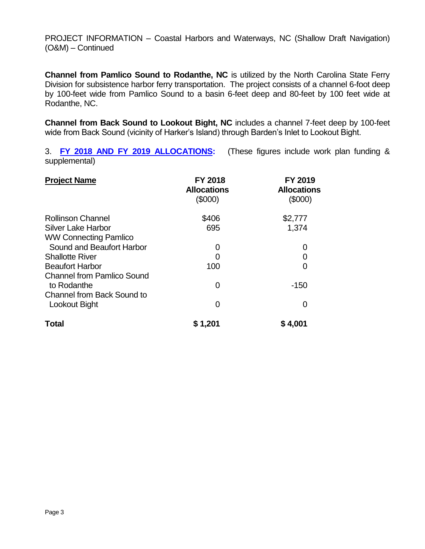**Channel from Pamlico Sound to Rodanthe, NC** is utilized by the North Carolina State Ferry Division for subsistence harbor ferry transportation. The project consists of a channel 6-foot deep by 100-feet wide from Pamlico Sound to a basin 6-feet deep and 80-feet by 100 feet wide at Rodanthe, NC.

**Channel from Back Sound to Lookout Bight, NC** includes a channel 7-feet deep by 100-feet wide from Back Sound (vicinity of Harker's Island) through Barden's Inlet to Lookout Bight.

3. **FY 2018 AND FY 2019 ALLOCATIONS:** (These figures include work plan funding & supplemental)

| <b>Project Name</b>               | <b>FY 2018</b><br><b>Allocations</b><br>$(\$000)$ | <b>FY 2019</b><br><b>Allocations</b><br>(\$000) |
|-----------------------------------|---------------------------------------------------|-------------------------------------------------|
| <b>Rollinson Channel</b>          | \$406                                             | \$2,777                                         |
| Silver Lake Harbor                | 695                                               | 1,374                                           |
| <b>WW Connecting Pamlico</b>      |                                                   |                                                 |
| Sound and Beaufort Harbor         | 0                                                 | O                                               |
| <b>Shallotte River</b>            | 0                                                 | 0                                               |
| <b>Beaufort Harbor</b>            | 100                                               | 0                                               |
| <b>Channel from Pamlico Sound</b> |                                                   |                                                 |
| to Rodanthe                       | 0                                                 | $-150$                                          |
| <b>Channel from Back Sound to</b> |                                                   |                                                 |
| Lookout Bight                     | 0                                                 | O                                               |
| <b>Total</b>                      | \$1,201                                           | \$4,001                                         |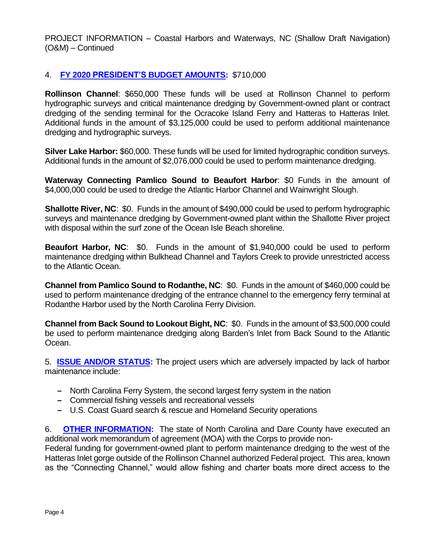## 4. **FY 2020 PRESIDENT'S BUDGET AMOUNTS:** \$710,000

**Rollinson Channel**: \$650,000 These funds will be used at Rollinson Channel to perform hydrographic surveys and critical maintenance dredging by Government-owned plant or contract dredging of the sending terminal for the Ocracoke Island Ferry and Hatteras to Hatteras Inlet. Additional funds in the amount of \$3,125,000 could be used to perform additional maintenance dredging and hydrographic surveys.

**Silver Lake Harbor:** \$60,000. These funds will be used for limited hydrographic condition surveys. Additional funds in the amount of \$2,076,000 could be used to perform maintenance dredging.

**Waterway Connecting Pamlico Sound to Beaufort Harbor**: \$0 Funds in the amount of \$4,000,000 could be used to dredge the Atlantic Harbor Channel and Wainwright Slough.

**Shallotte River, NC:** \$0. Funds in the amount of \$490,000 could be used to perform hydrographic surveys and maintenance dredging by Government-owned plant within the Shallotte River project with disposal within the surf zone of the Ocean Isle Beach shoreline.

**Beaufort Harbor, NC**: \$0. Funds in the amount of \$1,940,000 could be used to perform maintenance dredging within Bulkhead Channel and Taylors Creek to provide unrestricted access to the Atlantic Ocean.

**Channel from Pamlico Sound to Rodanthe, NC**: \$0.Funds in the amount of \$460,000 could be used to perform maintenance dredging of the entrance channel to the emergency ferry terminal at Rodanthe Harbor used by the North Carolina Ferry Division.

**Channel from Back Sound to Lookout Bight, NC**: \$0.Funds in the amount of \$3,500,000 could be used to perform maintenance dredging along Barden's Inlet from Back Sound to the Atlantic Ocean.

5. **ISSUE AND/OR STATUS:** The project users which are adversely impacted by lack of harbor maintenance include:

- **‒** North Carolina Ferry System, the second largest ferry system in the nation
- **‒** Commercial fishing vessels and recreational vessels
- **‒** U.S. Coast Guard search & rescue and Homeland Security operations

6. **OTHER INFORMATION:** The state of North Carolina and Dare County have executed an additional work memorandum of agreement (MOA) with the Corps to provide non-

Federal funding for government-owned plant to perform maintenance dredging to the west of the Hatteras Inlet gorge outside of the Rollinson Channel authorized Federal project. This area, known as the "Connecting Channel," would allow fishing and charter boats more direct access to the